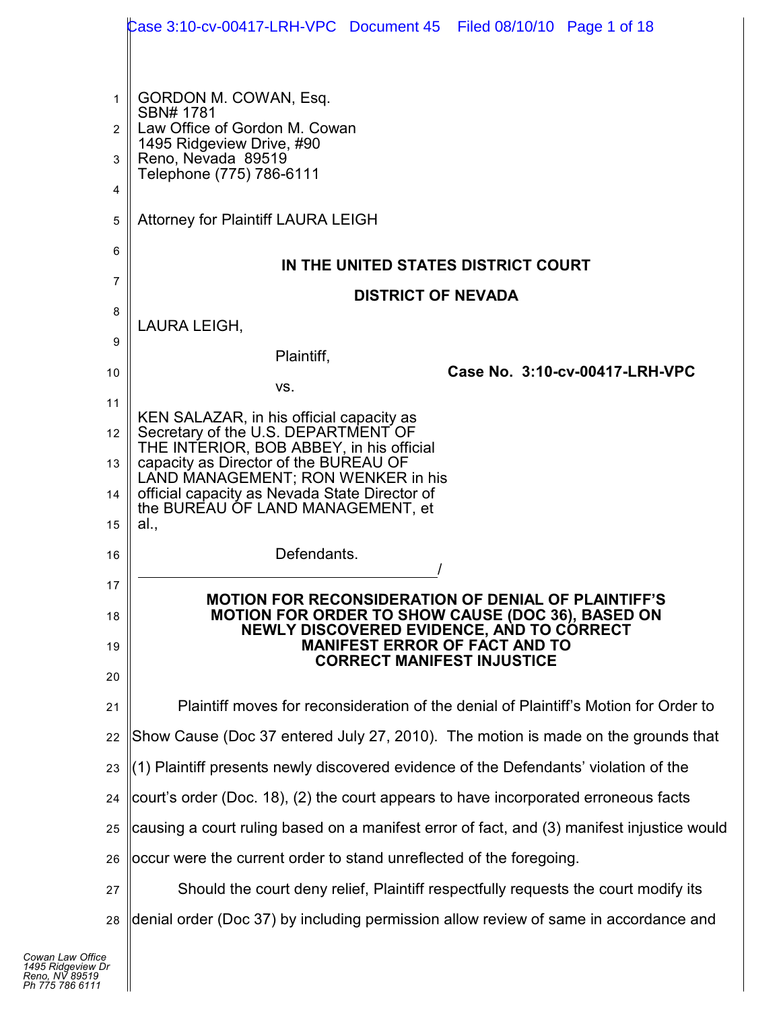|    | Case 3:10-cv-00417-LRH-VPC Document 45 Filed 08/10/10 Page 1 of 18                                                      |  |  |  |  |  |
|----|-------------------------------------------------------------------------------------------------------------------------|--|--|--|--|--|
|    |                                                                                                                         |  |  |  |  |  |
| 1  | GORDON M. COWAN, Esq.                                                                                                   |  |  |  |  |  |
| 2  | SBN# 1781<br>Law Office of Gordon M. Cowan                                                                              |  |  |  |  |  |
| 3  | 1495 Ridgeview Drive, #90<br>Reno, Nevada 89519                                                                         |  |  |  |  |  |
| 4  | Telephone (775) 786-6111                                                                                                |  |  |  |  |  |
| 5  | <b>Attorney for Plaintiff LAURA LEIGH</b>                                                                               |  |  |  |  |  |
| 6  |                                                                                                                         |  |  |  |  |  |
| 7  | IN THE UNITED STATES DISTRICT COURT                                                                                     |  |  |  |  |  |
| 8  | <b>DISTRICT OF NEVADA</b>                                                                                               |  |  |  |  |  |
| 9  | LAURA LEIGH,                                                                                                            |  |  |  |  |  |
| 10 | Plaintiff,<br>Case No. 3:10-cv-00417-LRH-VPC                                                                            |  |  |  |  |  |
| 11 | VS.                                                                                                                     |  |  |  |  |  |
| 12 | KEN SALAZAR, in his official capacity as<br>Secretary of the U.S. DEPARTMENT OF                                         |  |  |  |  |  |
| 13 | THE INTERIOR, BOB ABBEY, in his official<br>capacity as Director of the BUREAU OF<br>LAND MANAGEMENT; RON WENKER in his |  |  |  |  |  |
| 14 | official capacity as Nevada State Director of                                                                           |  |  |  |  |  |
| 15 | the BUREAU OF LAND MANAGEMENT, et<br>al.,                                                                               |  |  |  |  |  |
| 16 | Defendants.                                                                                                             |  |  |  |  |  |
| 17 |                                                                                                                         |  |  |  |  |  |
| 18 | <b>MOTION FOR RECONSIDERATION OF DENIAL OF PLAINTIFF'S</b><br><b>MOTION FOR ORDER TO SHOW CAUSE (DOC 36), BASED ON</b>  |  |  |  |  |  |
| 19 | NEWLY DISCOVERED EVIDENCE, AND TO CORRECT<br><b>MANIFEST ERROR OF FACT AND TO</b>                                       |  |  |  |  |  |
| 20 | <b>CORRECT MANIFEST INJUSTICE</b>                                                                                       |  |  |  |  |  |
| 21 | Plaintiff moves for reconsideration of the denial of Plaintiff's Motion for Order to                                    |  |  |  |  |  |
| 22 | Show Cause (Doc 37 entered July 27, 2010). The motion is made on the grounds that                                       |  |  |  |  |  |
| 23 | (1) Plaintiff presents newly discovered evidence of the Defendants' violation of the                                    |  |  |  |  |  |
| 24 | court's order (Doc. 18), (2) the court appears to have incorporated erroneous facts                                     |  |  |  |  |  |
| 25 | causing a court ruling based on a manifest error of fact, and (3) manifest injustice would                              |  |  |  |  |  |
| 26 | occur were the current order to stand unreflected of the foregoing.                                                     |  |  |  |  |  |
| 27 | Should the court deny relief, Plaintiff respectfully requests the court modify its                                      |  |  |  |  |  |
| 28 | denial order (Doc 37) by including permission allow review of same in accordance and                                    |  |  |  |  |  |

 $\blacksquare$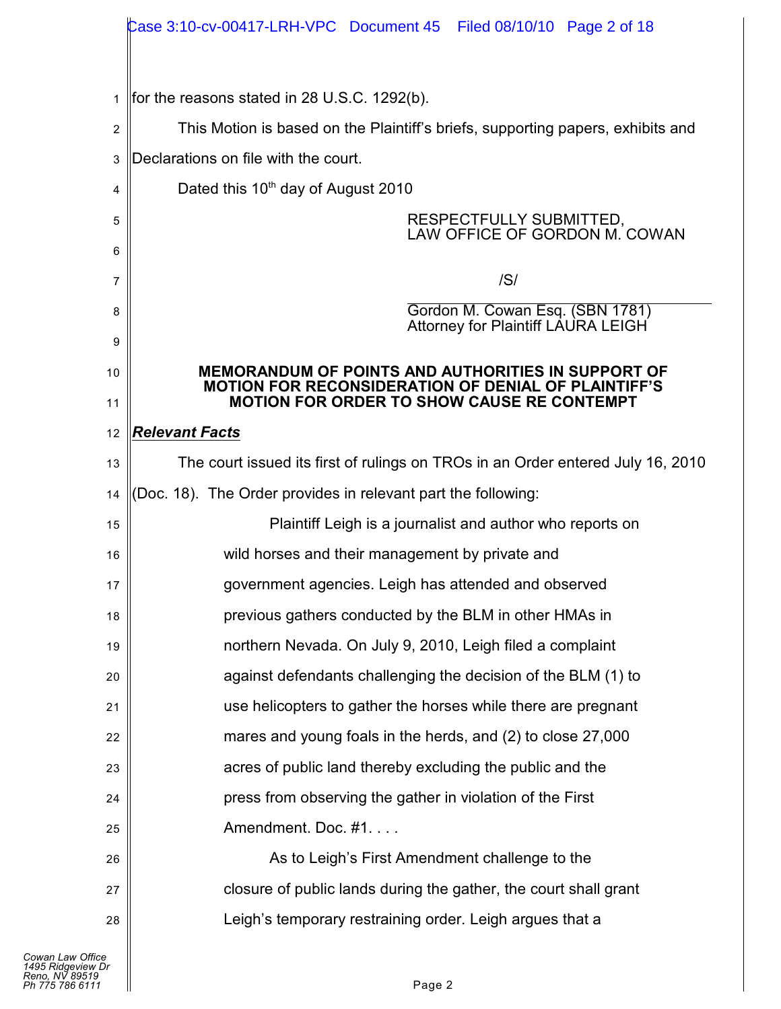|                | Case 3:10-cv-00417-LRH-VPC Document 45 Filed 08/10/10 Page 2 of 18                                       |  |  |  |  |  |
|----------------|----------------------------------------------------------------------------------------------------------|--|--|--|--|--|
| 1              | for the reasons stated in 28 U.S.C. 1292(b).                                                             |  |  |  |  |  |
| $\overline{c}$ | This Motion is based on the Plaintiff's briefs, supporting papers, exhibits and                          |  |  |  |  |  |
| 3              | Declarations on file with the court.                                                                     |  |  |  |  |  |
| 4              | Dated this 10 <sup>th</sup> day of August 2010                                                           |  |  |  |  |  |
| 5              | RESPECTFULLY SUBMITTED,                                                                                  |  |  |  |  |  |
| 6              | LAW OFFICE OF GORDON M. COWAN                                                                            |  |  |  |  |  |
| 7              | /S/                                                                                                      |  |  |  |  |  |
| 8              | Gordon M. Cowan Esq. (SBN 1781)<br>Attorney for Plaintiff LAURA LEIGH                                    |  |  |  |  |  |
| 9              |                                                                                                          |  |  |  |  |  |
| 10             | <b>MEMORANDUM OF POINTS AND AUTHORITIES IN SUPPORT OF</b>                                                |  |  |  |  |  |
| 11             | MOTION FOR RECONSIDERATION OF DENIAL OF PLAINTIFF'S<br><b>MOTION FOR ORDER TO SHOW CAUSE RE CONTEMPT</b> |  |  |  |  |  |
| 12             | <b>Relevant Facts</b>                                                                                    |  |  |  |  |  |
| 13             | The court issued its first of rulings on TROs in an Order entered July 16, 2010                          |  |  |  |  |  |
| 14             | (Doc. 18). The Order provides in relevant part the following:                                            |  |  |  |  |  |
| 15             | Plaintiff Leigh is a journalist and author who reports on                                                |  |  |  |  |  |
| 16             | wild horses and their management by private and                                                          |  |  |  |  |  |
| 17             | government agencies. Leigh has attended and observed                                                     |  |  |  |  |  |
| 18             | previous gathers conducted by the BLM in other HMAs in                                                   |  |  |  |  |  |
| 19             | northern Nevada. On July 9, 2010, Leigh filed a complaint                                                |  |  |  |  |  |
| 20             | against defendants challenging the decision of the BLM (1) to                                            |  |  |  |  |  |
| 21             | use helicopters to gather the horses while there are pregnant                                            |  |  |  |  |  |
| 22             | mares and young foals in the herds, and (2) to close 27,000                                              |  |  |  |  |  |
| 23             | acres of public land thereby excluding the public and the                                                |  |  |  |  |  |
| 24             | press from observing the gather in violation of the First                                                |  |  |  |  |  |
| 25             | Amendment. Doc. #1.                                                                                      |  |  |  |  |  |
| 26             | As to Leigh's First Amendment challenge to the                                                           |  |  |  |  |  |
| 27             | closure of public lands during the gather, the court shall grant                                         |  |  |  |  |  |
| 28             | Leigh's temporary restraining order. Leigh argues that a                                                 |  |  |  |  |  |
|                |                                                                                                          |  |  |  |  |  |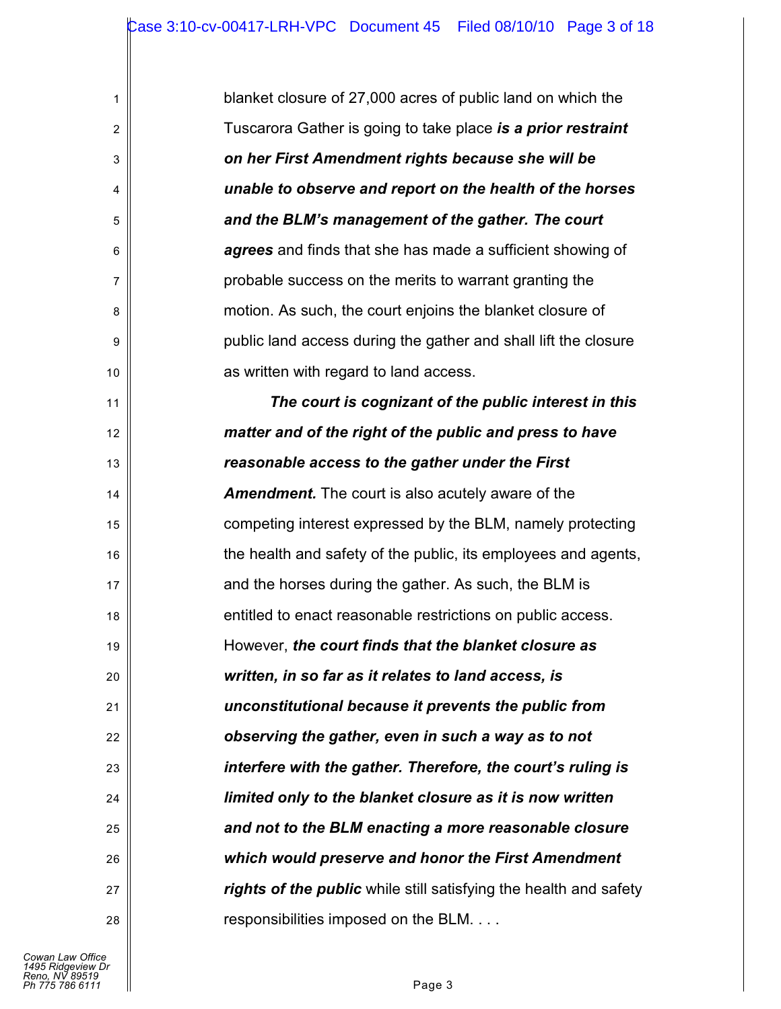| 1                | blanket closure of 27,000 acres of public land on which the       |
|------------------|-------------------------------------------------------------------|
| $\boldsymbol{2}$ | Tuscarora Gather is going to take place is a prior restraint      |
| 3                | on her First Amendment rights because she will be                 |
| 4                | unable to observe and report on the health of the horses          |
| 5                | and the BLM's management of the gather. The court                 |
| 6                | agrees and finds that she has made a sufficient showing of        |
| 7                | probable success on the merits to warrant granting the            |
| 8                | motion. As such, the court enjoins the blanket closure of         |
| 9                | public land access during the gather and shall lift the closure   |
| 10               | as written with regard to land access.                            |
| 11               | The court is cognizant of the public interest in this             |
| 12               | matter and of the right of the public and press to have           |
| 13               | reasonable access to the gather under the First                   |
| 14               | <b>Amendment.</b> The court is also acutely aware of the          |
| 15               | competing interest expressed by the BLM, namely protecting        |
| 16               | the health and safety of the public, its employees and agents,    |
| 17               | and the horses during the gather. As such, the BLM is             |
| 18               | entitled to enact reasonable restrictions on public access.       |
| 19               | However, the court finds that the blanket closure as              |
| 20               | written, in so far as it relates to land access, is               |
| 21               | unconstitutional because it prevents the public from              |
| 22               | observing the gather, even in such a way as to not                |
| 23               | interfere with the gather. Therefore, the court's ruling is       |
| 24               | limited only to the blanket closure as it is now written          |
| 25               | and not to the BLM enacting a more reasonable closure             |
| 26               | which would preserve and honor the First Amendment                |
| 27               | rights of the public while still satisfying the health and safety |
| 28               | responsibilities imposed on the BLM.                              |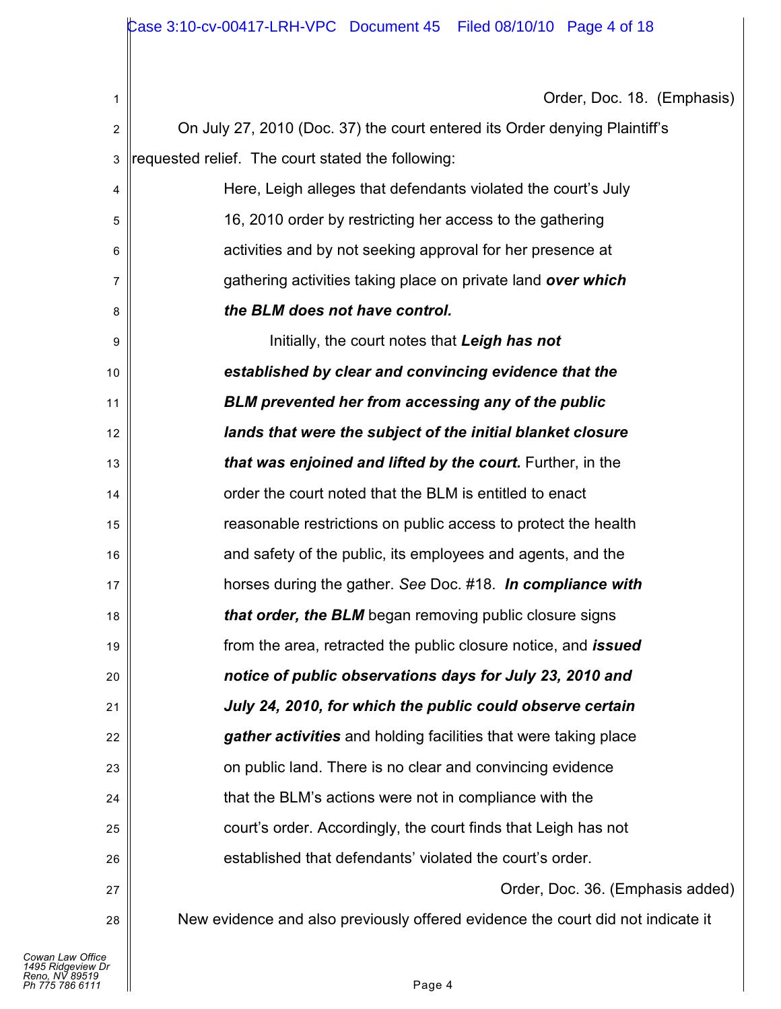Order, Doc. 18. (Emphasis)

| $\overline{2}$ | On July 27, 2010 (Doc. 37) the court entered its Order denying Plaintiff's      |
|----------------|---------------------------------------------------------------------------------|
| 3              | requested relief. The court stated the following:                               |
| 4              | Here, Leigh alleges that defendants violated the court's July                   |
| 5              | 16, 2010 order by restricting her access to the gathering                       |
| 6              | activities and by not seeking approval for her presence at                      |
| 7              | gathering activities taking place on private land over which                    |
| 8              | the BLM does not have control.                                                  |
| 9              | Initially, the court notes that Leigh has not                                   |
| 10             | established by clear and convincing evidence that the                           |
| 11             | <b>BLM</b> prevented her from accessing any of the public                       |
| 12             | lands that were the subject of the initial blanket closure                      |
| 13             | that was enjoined and lifted by the court. Further, in the                      |
| 14             | order the court noted that the BLM is entitled to enact                         |
| 15             | reasonable restrictions on public access to protect the health                  |
| 16             | and safety of the public, its employees and agents, and the                     |
| 17             | horses during the gather. See Doc. #18. In compliance with                      |
| 18             | that order, the BLM began removing public closure signs                         |
| 19             | from the area, retracted the public closure notice, and <i>issued</i>           |
| 20             | notice of public observations days for July 23, 2010 and                        |
| 21             | July 24, 2010, for which the public could observe certain                       |
| 22             | gather activities and holding facilities that were taking place                 |
| 23             | on public land. There is no clear and convincing evidence                       |
| 24             | that the BLM's actions were not in compliance with the                          |
| 25             | court's order. Accordingly, the court finds that Leigh has not                  |
| 26             | established that defendants' violated the court's order.                        |
| 27             | Order, Doc. 36. (Emphasis added)                                                |
| 28             | New evidence and also previously offered evidence the court did not indicate it |
|                |                                                                                 |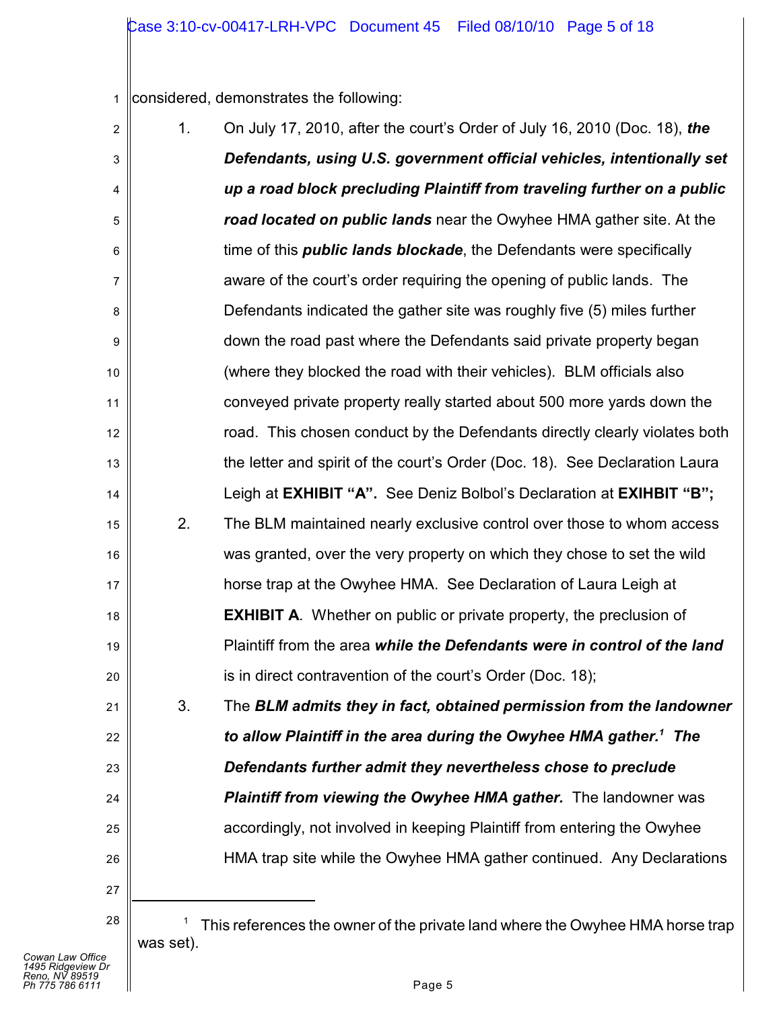1 considered, demonstrates the following:

| $\overline{c}$ | 1.        | On July 17, 2010, after the court's Order of July 16, 2010 (Doc. 18), the     |
|----------------|-----------|-------------------------------------------------------------------------------|
| 3              |           | Defendants, using U.S. government official vehicles, intentionally set        |
| 4              |           | up a road block precluding Plaintiff from traveling further on a public       |
| 5              |           | road located on public lands near the Owyhee HMA gather site. At the          |
| 6              |           | time of this <b>public lands blockade</b> , the Defendants were specifically  |
| 7              |           | aware of the court's order requiring the opening of public lands. The         |
| 8              |           | Defendants indicated the gather site was roughly five (5) miles further       |
| 9              |           | down the road past where the Defendants said private property began           |
| 10             |           | (where they blocked the road with their vehicles). BLM officials also         |
| 11             |           | conveyed private property really started about 500 more yards down the        |
| 12             |           | road. This chosen conduct by the Defendants directly clearly violates both    |
| 13             |           | the letter and spirit of the court's Order (Doc. 18). See Declaration Laura   |
| 14             |           | Leigh at EXHIBIT "A". See Deniz Bolbol's Declaration at EXIHBIT "B";          |
| 15             | 2.        | The BLM maintained nearly exclusive control over those to whom access         |
| 16             |           | was granted, over the very property on which they chose to set the wild       |
| 17             |           | horse trap at the Owyhee HMA. See Declaration of Laura Leigh at               |
| 18             |           | <b>EXHIBIT A.</b> Whether on public or private property, the preclusion of    |
| 19             |           | Plaintiff from the area while the Defendants were in control of the land      |
| 20             |           | is in direct contravention of the court's Order (Doc. 18);                    |
| 21             | 3.        | The BLM admits they in fact, obtained permission from the landowner           |
| 22             |           | to allow Plaintiff in the area during the Owyhee HMA gather. <sup>1</sup> The |
| 23             |           | Defendants further admit they nevertheless chose to preclude                  |
| 24             |           | <b>Plaintiff from viewing the Owyhee HMA gather.</b> The landowner was        |
| 25             |           | accordingly, not involved in keeping Plaintiff from entering the Owyhee       |
| 26             |           | HMA trap site while the Owyhee HMA gather continued. Any Declarations         |
| 27             |           |                                                                               |
| 28             | was set). | This references the owner of the private land where the Owyhee HMA horse trap |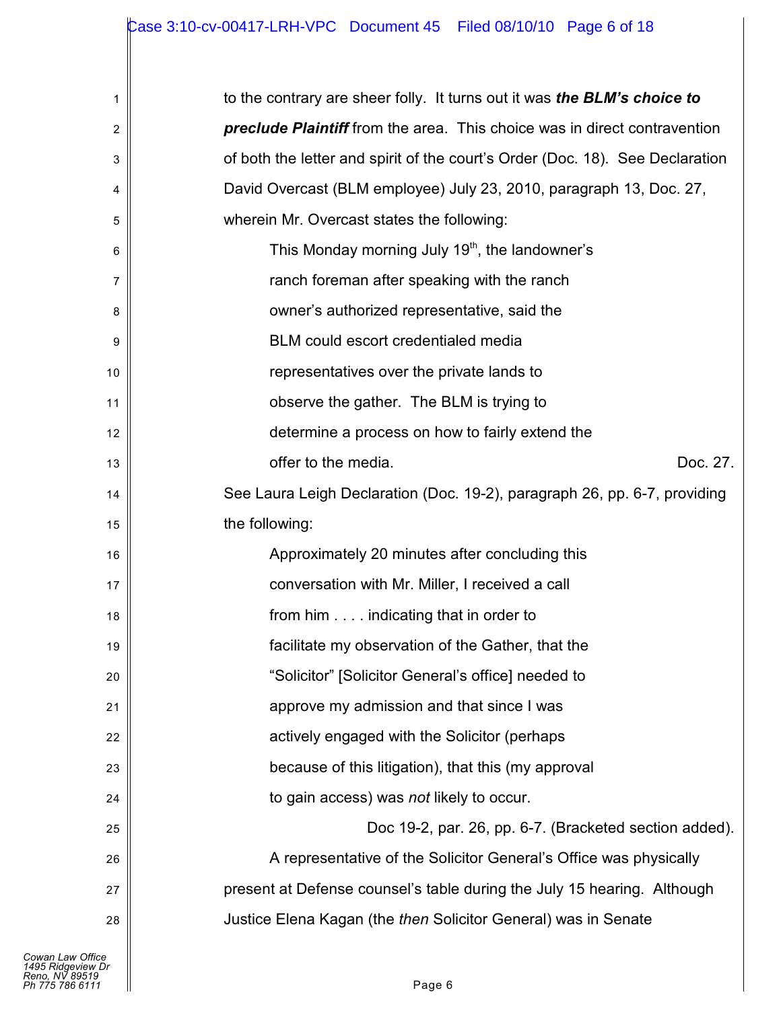| 1              | to the contrary are sheer folly. It turns out it was the BLM's choice to         |
|----------------|----------------------------------------------------------------------------------|
| $\overline{2}$ | <b>preclude Plaintiff</b> from the area. This choice was in direct contravention |
| 3              | of both the letter and spirit of the court's Order (Doc. 18). See Declaration    |
| 4              | David Overcast (BLM employee) July 23, 2010, paragraph 13, Doc. 27,              |
| 5              | wherein Mr. Overcast states the following:                                       |
| 6              | This Monday morning July 19 <sup>th</sup> , the landowner's                      |
| 7              | ranch foreman after speaking with the ranch                                      |
| 8              | owner's authorized representative, said the                                      |
| 9              | BLM could escort credentialed media                                              |
| 10             | representatives over the private lands to                                        |
| 11             | observe the gather. The BLM is trying to                                         |
| 12             | determine a process on how to fairly extend the                                  |
| 13             | offer to the media.<br>Doc. 27.                                                  |
| 14             | See Laura Leigh Declaration (Doc. 19-2), paragraph 26, pp. 6-7, providing        |
| 15             | the following:                                                                   |
| 16             | Approximately 20 minutes after concluding this                                   |
| 17             | conversation with Mr. Miller, I received a call                                  |
| 18             | from him indicating that in order to                                             |
| 19             | facilitate my observation of the Gather, that the                                |
| 20             | "Solicitor" [Solicitor General's office] needed to                               |
| 21             | approve my admission and that since I was                                        |
| 22             | actively engaged with the Solicitor (perhaps                                     |
| 23             | because of this litigation), that this (my approval                              |
| 24             | to gain access) was not likely to occur.                                         |
| 25             | Doc 19-2, par. 26, pp. 6-7. (Bracketed section added).                           |
| 26             | A representative of the Solicitor General's Office was physically                |
| 27             | present at Defense counsel's table during the July 15 hearing. Although          |
| 28             | Justice Elena Kagan (the then Solicitor General) was in Senate                   |
|                |                                                                                  |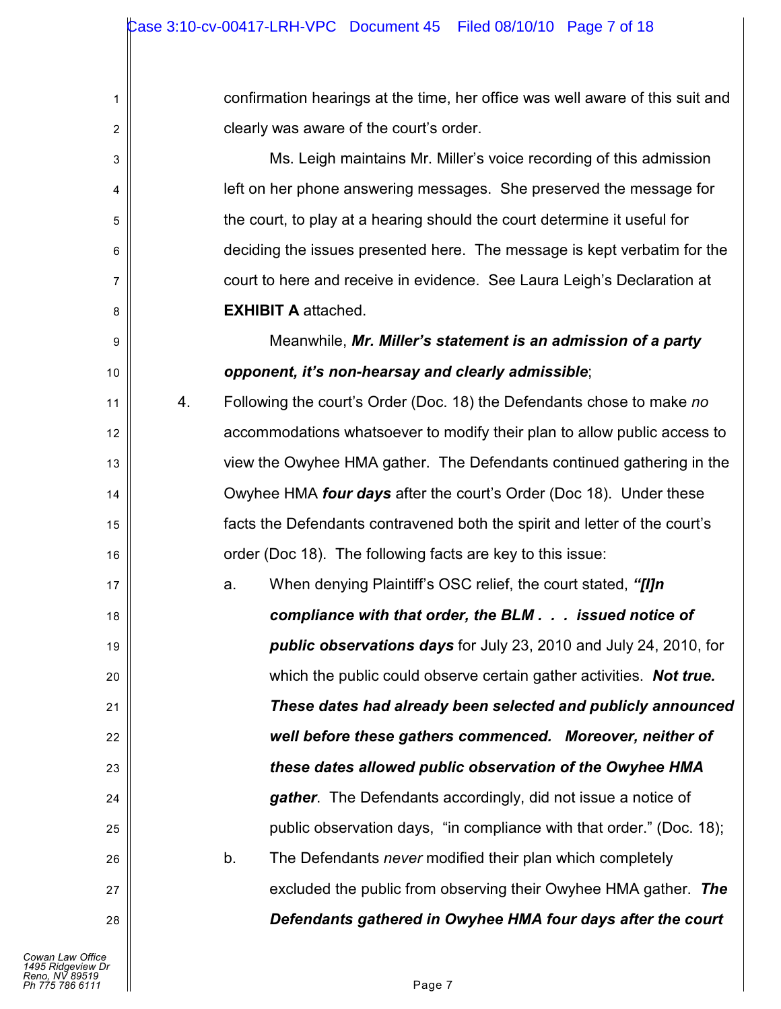confirmation hearings at the time, her office was well aware of this suit and clearly was aware of the court's order.

Ms. Leigh maintains Mr. Miller's voice recording of this admission left on her phone answering messages. She preserved the message for the court, to play at a hearing should the court determine it useful for deciding the issues presented here. The message is kept verbatim for the court to here and receive in evidence. See Laura Leigh's Declaration at **EXHIBIT A** attached.

Meanwhile, *Mr. Miller's statement is an admission of a party opponent, it's non-hearsay and clearly admissible*;

4. Following the court's Order (Doc. 18) the Defendants chose to make *no* accommodations whatsoever to modify their plan to allow public access to view the Owyhee HMA gather. The Defendants continued gathering in the Owyhee HMA *four days* after the court's Order (Doc 18). Under these facts the Defendants contravened both the spirit and letter of the court's order (Doc 18). The following facts are key to this issue:

> a. When denying Plaintiff's OSC relief, the court stated, *"[I]n compliance with that order, the BLM . . . issued notice of public observations days* for July 23, 2010 and July 24, 2010, for which the public could observe certain gather activities. *Not true. These dates had already been selected and publicly announced well before these gathers commenced. Moreover, neither of these dates allowed public observation of the Owyhee HMA gather*. The Defendants accordingly, did not issue a notice of public observation days, "in compliance with that order." (Doc. 18); b. The Defendants *never* modified their plan which completely excluded the public from observing their Owyhee HMA gather. *The Defendants gathered in Owyhee HMA four days after the court*

*Cowan Law Office 1495 Ridgeview Dr Reno, NV 89519 Ph 775 786 6111* Page 7

1

2

3

4

5

6

7

8

9

10

11

12

13

14

15

16

17

18

19

20

21

22

23

 $24$ 

25

26

27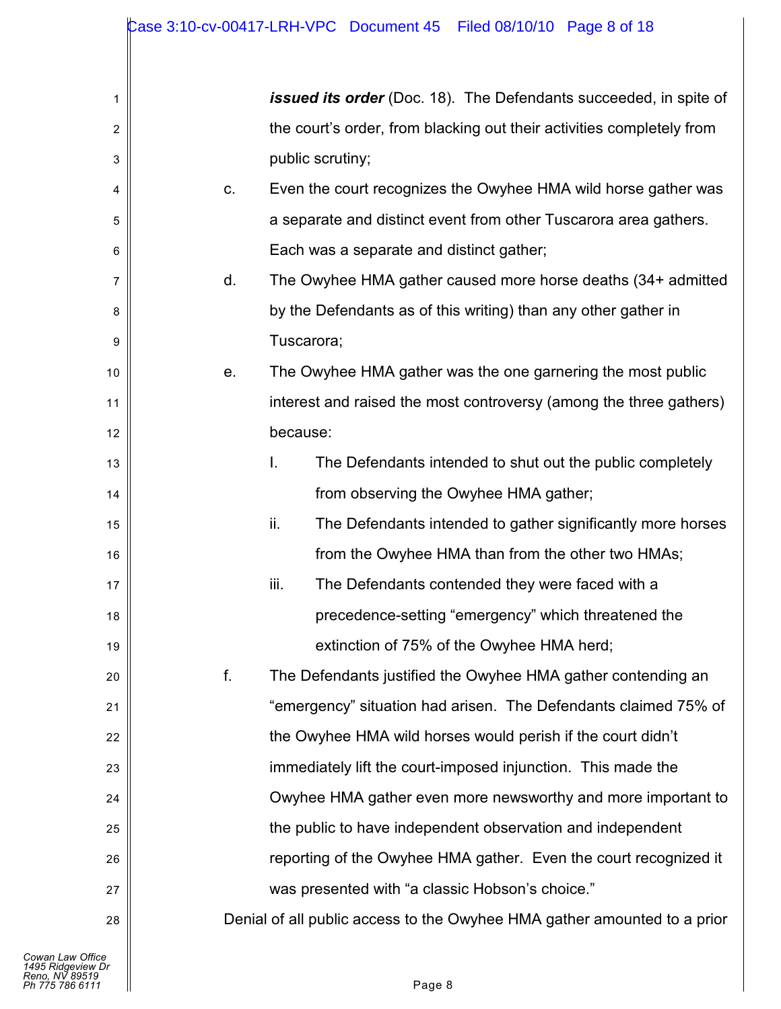|    |          | <b>issued its order</b> (Doc. 18). The Defendants succeeded, in spite of |
|----|----------|--------------------------------------------------------------------------|
|    |          | the court's order, from blacking out their activities completely from    |
|    |          | public scrutiny;                                                         |
| C. |          | Even the court recognizes the Owyhee HMA wild horse gather was           |
|    |          | a separate and distinct event from other Tuscarora area gathers.         |
|    |          | Each was a separate and distinct gather;                                 |
| d. |          | The Owyhee HMA gather caused more horse deaths (34+ admitted             |
|    |          | by the Defendants as of this writing) than any other gather in           |
|    |          | Tuscarora;                                                               |
| e. |          | The Owyhee HMA gather was the one garnering the most public              |
|    |          | interest and raised the most controversy (among the three gathers)       |
|    | because: |                                                                          |
|    | L.       | The Defendants intended to shut out the public completely                |
|    |          | from observing the Owyhee HMA gather;                                    |
|    | ii.      | The Defendants intended to gather significantly more horses              |
|    |          | from the Owyhee HMA than from the other two HMAs;                        |
|    | iii.     | The Defendants contended they were faced with a                          |
|    |          | precedence-setting "emergency" which threatened the                      |
|    |          | extinction of 75% of the Owyhee HMA herd;                                |
| f. |          | The Defendants justified the Owyhee HMA gather contending an             |
|    |          | "emergency" situation had arisen. The Defendants claimed 75% of          |
|    |          | the Owyhee HMA wild horses would perish if the court didn't              |
|    |          | immediately lift the court-imposed injunction. This made the             |
|    |          | Owyhee HMA gather even more newsworthy and more important to             |
|    |          | the public to have independent observation and independent               |
|    |          | reporting of the Owyhee HMA gather. Even the court recognized it         |
|    |          | was presented with "a classic Hobson's choice."                          |
|    |          |                                                                          |

Denial of all public access to the Owyhee HMA gather amounted to a prior

1

2

3

4

5

6

7

8

9

10

11

12

13

14

15

16

17

18

19

20

21

22

23

24

25

26

27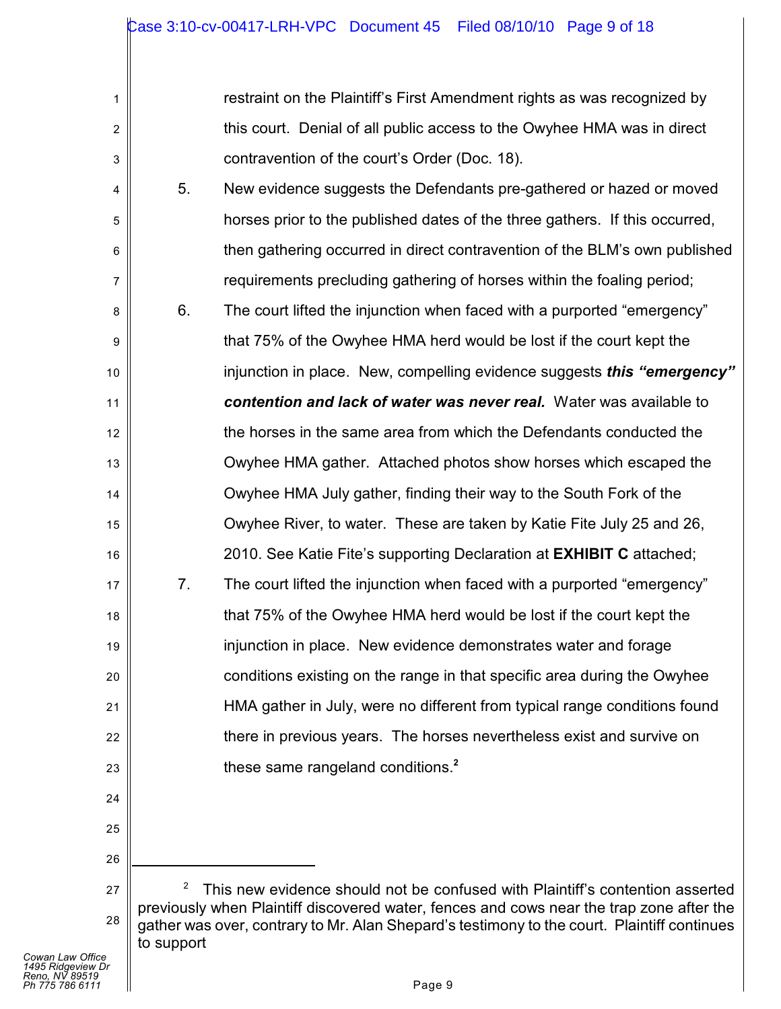| restraint on the Plaintiff's First Amendment rights as was recognized by |
|--------------------------------------------------------------------------|
| this court. Denial of all public access to the Owyhee HMA was in direct  |
| contravention of the court's Order (Doc. 18).                            |

- 4 5 6 7 5. New evidence suggests the Defendants pre-gathered or hazed or moved horses prior to the published dates of the three gathers. If this occurred, then gathering occurred in direct contravention of the BLM's own published requirements precluding gathering of horses within the foaling period;
- 8 9 10 11 12 13 14 15 16 17 18 19 20 21 6. The court lifted the injunction when faced with a purported "emergency" that 75% of the Owyhee HMA herd would be lost if the court kept the injunction in place. New, compelling evidence suggests *this "emergency" contention and lack of water was never real.* Water was available to the horses in the same area from which the Defendants conducted the Owyhee HMA gather. Attached photos show horses which escaped the Owyhee HMA July gather, finding their way to the South Fork of the Owyhee River, to water. These are taken by Katie Fite July 25 and 26, 2010. See Katie Fite's supporting Declaration at **EXHIBIT C** attached; 7. The court lifted the injunction when faced with a purported "emergency" that 75% of the Owyhee HMA herd would be lost if the court kept the injunction in place. New evidence demonstrates water and forage conditions existing on the range in that specific area during the Owyhee HMA gather in July, were no different from typical range conditions found

there in previous years. The horses nevertheless exist and survive on these same rangeland conditions.**<sup>2</sup>**

26 27

22

23

24

25

1

2

<sup>28</sup> This new evidence should not be confused with Plaintiff's contention asserted <sup>2</sup> previously when Plaintiff discovered water, fences and cows near the trap zone after the gather was over, contrary to Mr. Alan Shepard's testimony to the court. Plaintiff continues to support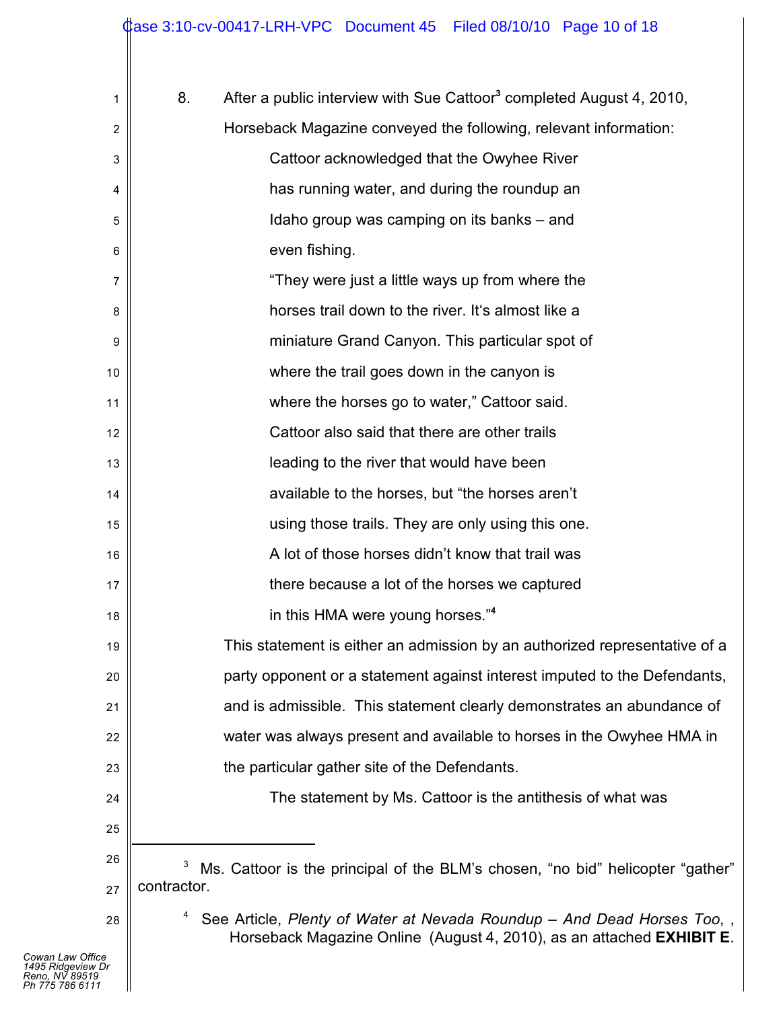| 1              | 8.          | After a public interview with Sue Cattoor <sup>3</sup> completed August 4, 2010,                                                                |
|----------------|-------------|-------------------------------------------------------------------------------------------------------------------------------------------------|
| $\overline{2}$ |             | Horseback Magazine conveyed the following, relevant information:                                                                                |
| 3              |             | Cattoor acknowledged that the Owyhee River                                                                                                      |
| 4              |             | has running water, and during the roundup an                                                                                                    |
| 5              |             | Idaho group was camping on its banks – and                                                                                                      |
| 6              |             | even fishing.                                                                                                                                   |
| 7              |             | "They were just a little ways up from where the                                                                                                 |
| 8              |             | horses trail down to the river. It's almost like a                                                                                              |
| 9              |             | miniature Grand Canyon. This particular spot of                                                                                                 |
| 10             |             | where the trail goes down in the canyon is                                                                                                      |
| 11             |             | where the horses go to water," Cattoor said.                                                                                                    |
| 12             |             | Cattoor also said that there are other trails                                                                                                   |
| 13             |             | leading to the river that would have been                                                                                                       |
| 14             |             | available to the horses, but "the horses aren't                                                                                                 |
| 15             |             | using those trails. They are only using this one.                                                                                               |
| 16             |             | A lot of those horses didn't know that trail was                                                                                                |
| 17             |             | there because a lot of the horses we captured                                                                                                   |
| 18             |             | in this HMA were young horses."4                                                                                                                |
| 19             |             | This statement is either an admission by an authorized representative of a                                                                      |
| 20             |             | party opponent or a statement against interest imputed to the Defendants,                                                                       |
| 21             |             | and is admissible. This statement clearly demonstrates an abundance of                                                                          |
| 22             |             | water was always present and available to horses in the Owyhee HMA in                                                                           |
| 23             |             | the particular gather site of the Defendants.                                                                                                   |
| 24             |             | The statement by Ms. Cattoor is the antithesis of what was                                                                                      |
| 25             |             |                                                                                                                                                 |
| 26             |             | Ms. Cattoor is the principal of the BLM's chosen, "no bid" helicopter "gather"                                                                  |
| 27             | contractor. |                                                                                                                                                 |
| 28             |             | See Article, Plenty of Water at Nevada Roundup - And Dead Horses Too,,<br>Horseback Magazine Online (August 4, 2010), as an attached EXHIBIT E. |

║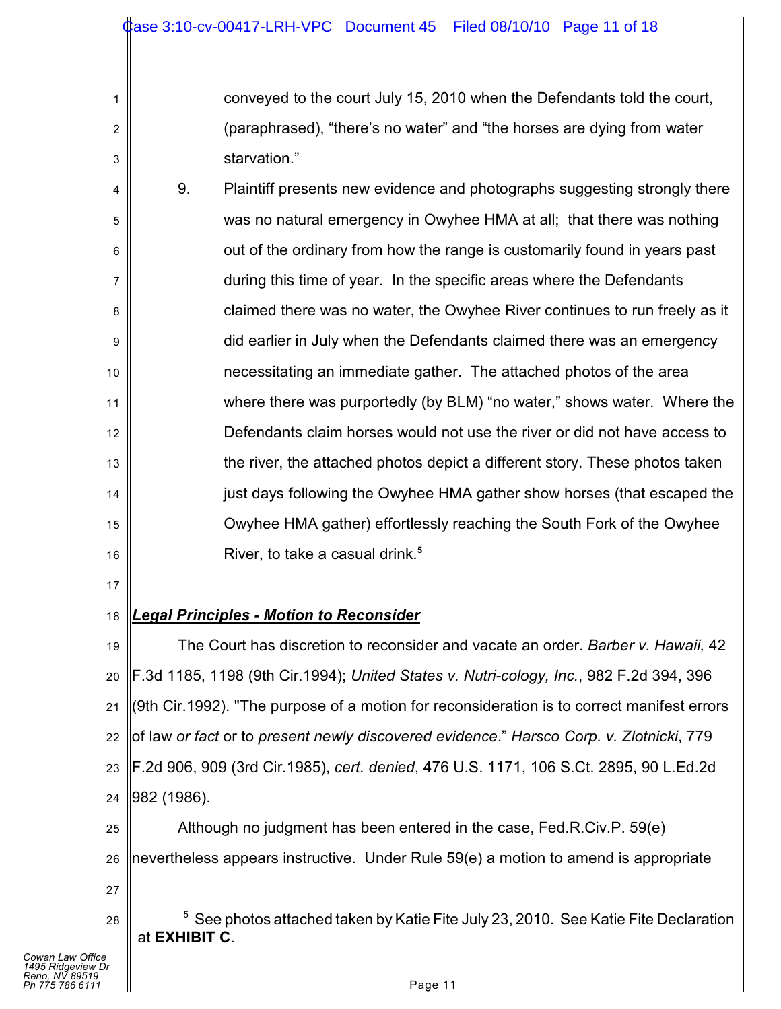conveyed to the court July 15, 2010 when the Defendants told the court, (paraphrased), "there's no water" and "the horses are dying from water starvation."

4 5 6 7 8 9 10 11 12 13 14 15 16 9. Plaintiff presents new evidence and photographs suggesting strongly there was no natural emergency in Owyhee HMA at all; that there was nothing out of the ordinary from how the range is customarily found in years past during this time of year. In the specific areas where the Defendants claimed there was no water, the Owyhee River continues to run freely as it did earlier in July when the Defendants claimed there was an emergency necessitating an immediate gather. The attached photos of the area where there was purportedly (by BLM) "no water," shows water. Where the Defendants claim horses would not use the river or did not have access to the river, the attached photos depict a different story. These photos taken just days following the Owyhee HMA gather show horses (that escaped the Owyhee HMA gather) effortlessly reaching the South Fork of the Owyhee River, to take a casual drink.**<sup>5</sup>**

17

1

2

3

### 18 *Legal Principles - Motion to Reconsider*

19 20 21 22 23 24 The Court has discretion to reconsider and vacate an order. *Barber v. Hawaii,* 42 F.3d 1185, 1198 (9th Cir.1994); *United States v. Nutri-cology, Inc.*, 982 F.2d 394, 396 (9th Cir.1992). "The purpose of a motion for reconsideration is to correct manifest errors of law *or fact* or to *present newly discovered evidence*." *Harsco Corp. v. Zlotnicki*, 779 F.2d 906, 909 (3rd Cir.1985), *cert. denied*, 476 U.S. 1171, 106 S.Ct. 2895, 90 L.Ed.2d 982 (1986).

25 26 Although no judgment has been entered in the case, Fed.R.Civ.P. 59(e) nevertheless appears instructive. Under Rule 59(e) a motion to amend is appropriate

- 27
- 28  $\parallel$   $\frac{1}{28}$  See photos attached taken by Katie Fite July 23, 2010. See Katie Fite Declaration at **EXHIBIT C**.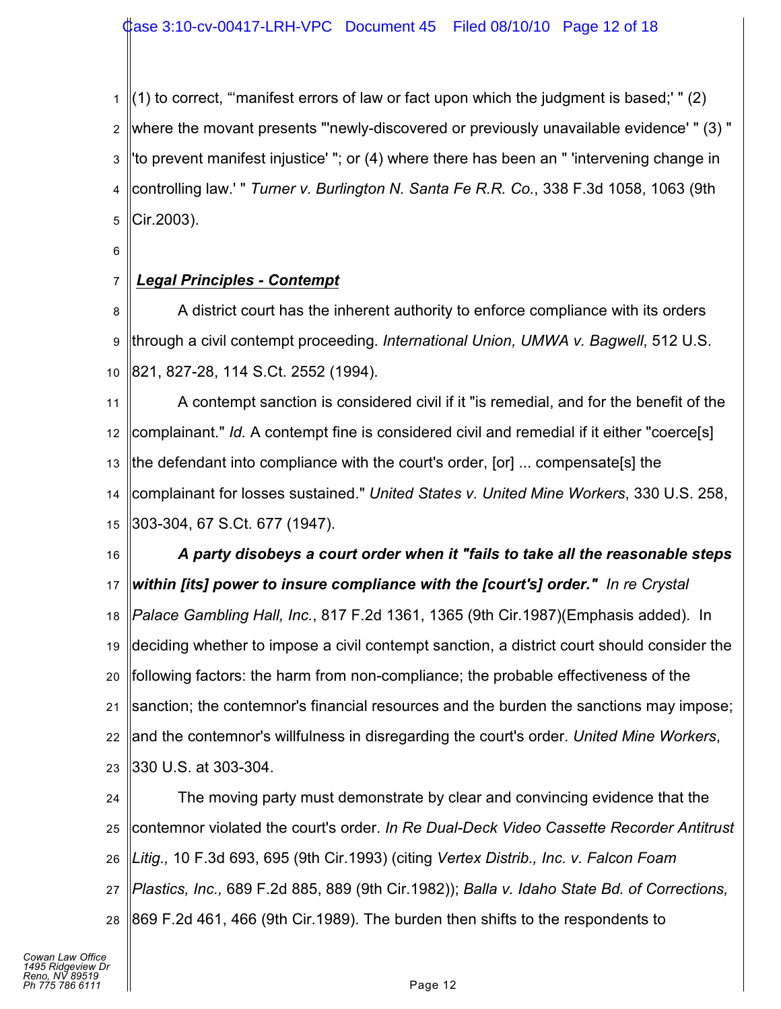1 (1) to correct, "'manifest errors of law or fact upon which the judgment is based;' " (2)

2 where the movant presents "'newly-discovered or previously unavailable evidence' " (3) "

3 4 'to prevent manifest injustice' "; or (4) where there has been an " 'intervening change in controlling law.' " *Turner v. Burlington N. Santa Fe R.R. Co.*, 338 F.3d 1058, 1063 (9th

5 6

Cir.2003).

### 7 *Legal Principles - Contempt*

8 9 10 A district court has the inherent authority to enforce compliance with its orders through a civil contempt proceeding. *International Union, UMWA v. Bagwell*, 512 U.S. 821, 827-28, 114 S.Ct. 2552 (1994).

11 12 13 14 15 A contempt sanction is considered civil if it "is remedial, and for the benefit of the complainant." *Id.* A contempt fine is considered civil and remedial if it either "coerce[s] the defendant into compliance with the court's order, [or] ... compensate[s] the complainant for losses sustained." *United States v. United Mine Workers*, 330 U.S. 258, 303-304, 67 S.Ct. 677 (1947).

16 17 18 19 20 21 22 23 *A party disobeys a court order when it "fails to take all the reasonable steps within [its] power to insure compliance with the [court's] order." In re Crystal Palace Gambling Hall, Inc.*, 817 F.2d 1361, 1365 (9th Cir.1987)(Emphasis added). In deciding whether to impose a civil contempt sanction, a district court should consider the following factors: the harm from non-compliance; the probable effectiveness of the sanction; the contemnor's financial resources and the burden the sanctions may impose; and the contemnor's willfulness in disregarding the court's order. *United Mine Workers*, 330 U.S. at 303-304.

24 25 26 27 28 The moving party must demonstrate by clear and convincing evidence that the contemnor violated the court's order. *In Re Dual-Deck Video Cassette Recorder Antitrust Litig.,* 10 F.3d 693, 695 (9th Cir.1993) (citing *Vertex Distrib., Inc. v. Falcon Foam Plastics, Inc.,* 689 F.2d 885, 889 (9th Cir.1982)); *Balla v. Idaho State Bd. of Corrections,* 869 F.2d 461, 466 (9th Cir.1989). The burden then shifts to the respondents to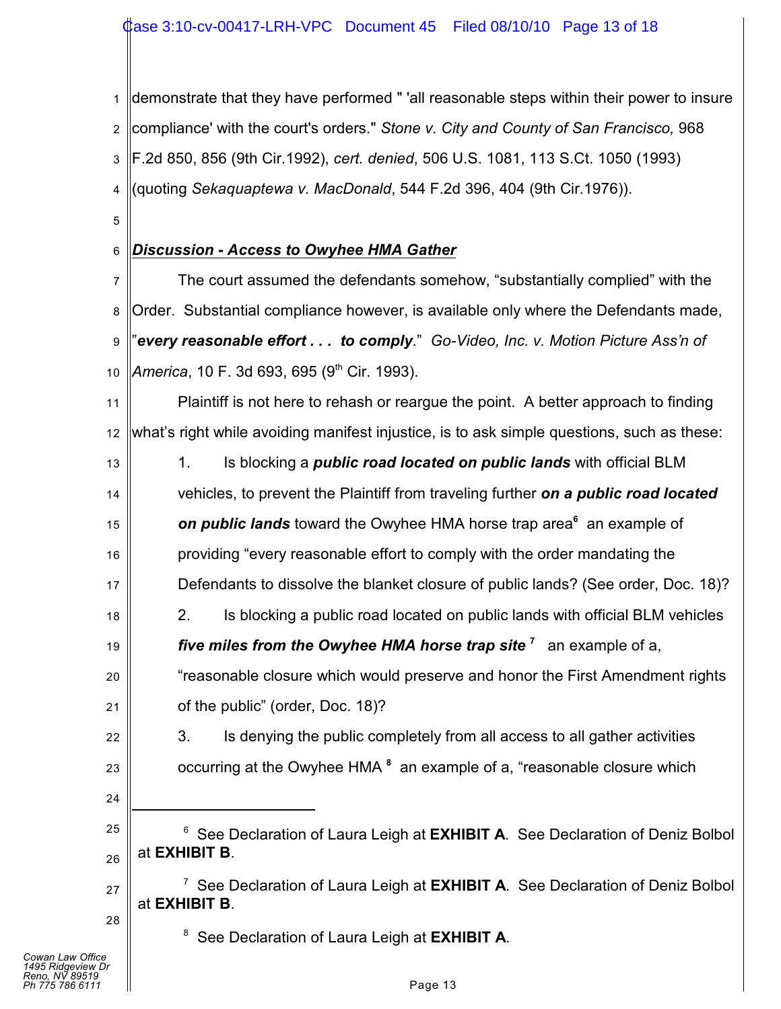1 2 3 demonstrate that they have performed " 'all reasonable steps within their power to insure compliance' with the court's orders." *Stone v. City and County of San Francisco,* 968 F.2d 850, 856 (9th Cir.1992), *cert. denied*, 506 U.S. 1081, 113 S.Ct. 1050 (1993)

4 (quoting *Sekaquaptewa v. MacDonald*, 544 F.2d 396, 404 (9th Cir.1976)).

5

6

# *Discussion - Access to Owyhee HMA Gather*

7 8 9 10 The court assumed the defendants somehow, "substantially complied" with the Order. Substantial compliance however, is available only where the Defendants made, "*every reasonable effort . . . to comply*." *Go-Video, Inc. v. Motion Picture Ass'n of America*, 10 F. 3d 693, 695 (9<sup>th</sup> Cir. 1993).

11 12 Plaintiff is not here to rehash or reargue the point. A better approach to finding what's right while avoiding manifest injustice, is to ask simple questions, such as these:

- 13 14 1. Is blocking a *public road located on public lands* with official BLM vehicles, to prevent the Plaintiff from traveling further *on a public road located*
- 15 **on public lands** toward the Owyhee HMA horse trap area<sup>6</sup> an example of

16 providing "every reasonable effort to comply with the order mandating the

17 Defendants to dissolve the blanket closure of public lands? (See order, Doc. 18)?

2. Is blocking a public road located on public lands with official BLM vehicles

*five miles from the Owyhee HMA horse trap site* <sup>7</sup> an example of a.

"reasonable closure which would preserve and honor the First Amendment rights of the public" (order, Doc. 18)?

3. Is denying the public completely from all access to all gather activities occurring at the Owyhee HMA <sup>8</sup> an example of a, "reasonable closure which

24 25

26

27

28

18

19

20

21

22

23

<sup>6</sup> See Declaration of Laura Leigh at **EXHIBIT A**. See Declaration of Deniz Bolbol at **EXHIBIT B**.

<sup>7</sup> See Declaration of Laura Leigh at **EXHIBIT A**. See Declaration of Deniz Bolbol at **EXHIBIT B**.

<sup>8</sup> See Declaration of Laura Leigh at EXHIBIT A.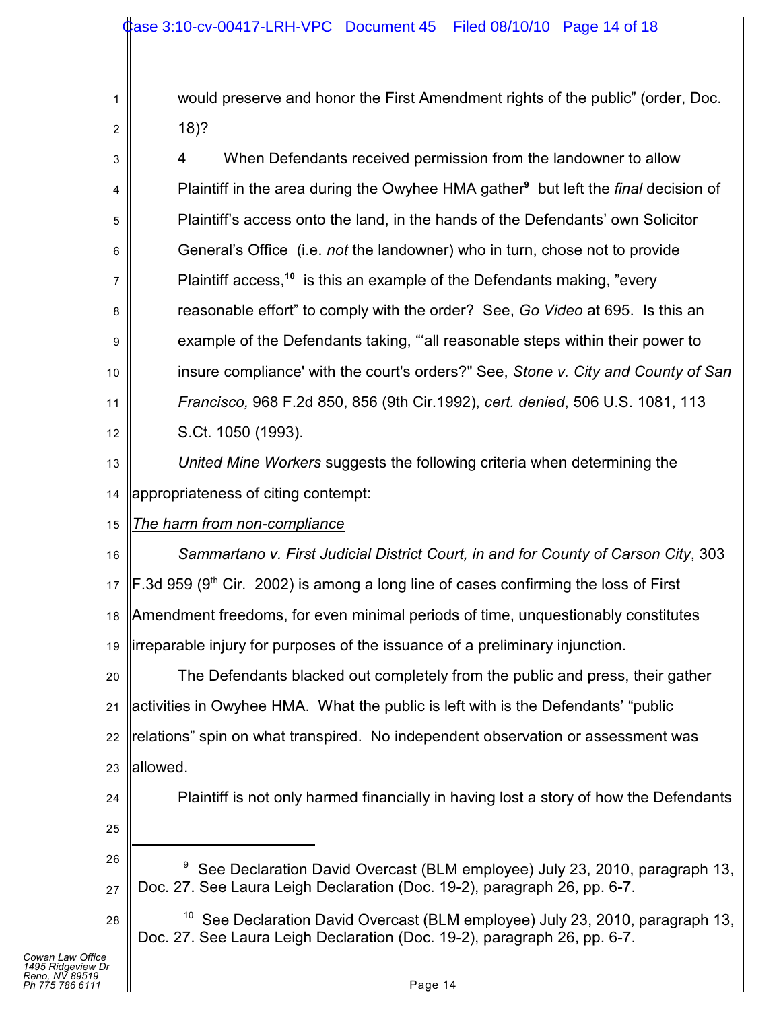would preserve and honor the First Amendment rights of the public" (order, Doc. 18)?

3 4 5 6 7 8 9 10 11 12 4 When Defendants received permission from the landowner to allow Plaintiff in the area during the Owyhee HMA gather<sup>9</sup> but left the *final* decision of Plaintiff's access onto the land, in the hands of the Defendants' own Solicitor General's Office (i.e. *not* the landowner) who in turn, chose not to provide Plaintiff access,<sup>10</sup> is this an example of the Defendants making, "every reasonable effort" to comply with the order? See, *Go Video* at 695. Is this an example of the Defendants taking, "'all reasonable steps within their power to insure compliance' with the court's orders?" See, *Stone v. City and County of San Francisco,* 968 F.2d 850, 856 (9th Cir.1992), *cert. denied*, 506 U.S. 1081, 113 S.Ct. 1050 (1993).

13 14 *United Mine Workers* suggests the following criteria when determining the appropriateness of citing contempt:

15 *The harm from non-compliance*

16 17 18 19 *Sammartano v. First Judicial District Court, in and for County of Carson City*, 303 F.3d 959 (9<sup>th</sup> Cir. 2002) is among a long line of cases confirming the loss of First Amendment freedoms, for even minimal periods of time, unquestionably constitutes irreparable injury for purposes of the issuance of a preliminary injunction.

20 21 22 23 The Defendants blacked out completely from the public and press, their gather activities in Owyhee HMA. What the public is left with is the Defendants' "public relations" spin on what transpired. No independent observation or assessment was allowed.

24

25

28

1

2

Plaintiff is not only harmed financially in having lost a story of how the Defendants

26 27 <sup>9</sup> See Declaration David Overcast (BLM employee) July 23, 2010, paragraph 13, Doc. 27. See Laura Leigh Declaration (Doc. 19-2), paragraph 26, pp. 6-7.

<sup>10</sup> See Declaration David Overcast (BLM employee) July 23, 2010, paragraph 13, Doc. 27. See Laura Leigh Declaration (Doc. 19-2), paragraph 26, pp. 6-7.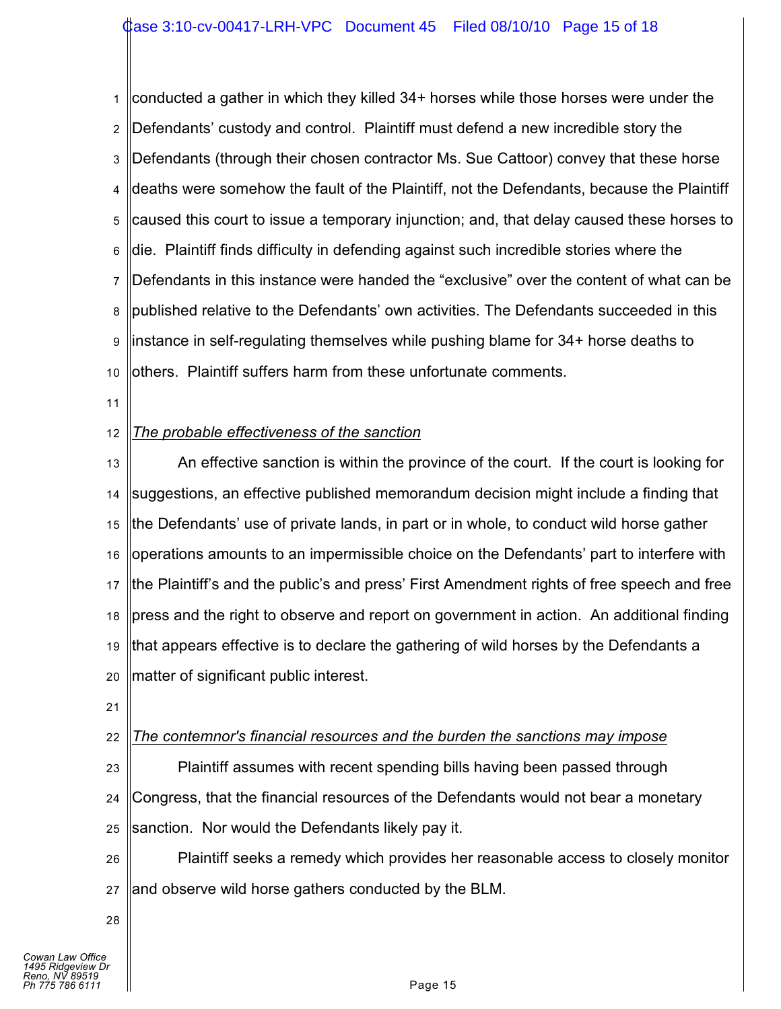1 2 3 4 5 6 7 8 9 10 conducted a gather in which they killed 34+ horses while those horses were under the Defendants' custody and control. Plaintiff must defend a new incredible story the Defendants (through their chosen contractor Ms. Sue Cattoor) convey that these horse deaths were somehow the fault of the Plaintiff, not the Defendants, because the Plaintiff caused this court to issue a temporary injunction; and, that delay caused these horses to die. Plaintiff finds difficulty in defending against such incredible stories where the Defendants in this instance were handed the "exclusive" over the content of what can be published relative to the Defendants' own activities. The Defendants succeeded in this instance in self-regulating themselves while pushing blame for 34+ horse deaths to others. Plaintiff suffers harm from these unfortunate comments.

11

#### 12 *The probable effectiveness of the sanction*

13 14 15 16 17 18 19 20 An effective sanction is within the province of the court. If the court is looking for suggestions, an effective published memorandum decision might include a finding that the Defendants' use of private lands, in part or in whole, to conduct wild horse gather operations amounts to an impermissible choice on the Defendants' part to interfere with the Plaintiff's and the public's and press' First Amendment rights of free speech and free press and the right to observe and report on government in action. An additional finding that appears effective is to declare the gathering of wild horses by the Defendants a matter of significant public interest.

21

#### 22 *The contemnor's financial resources and the burden the sanctions may impose*

23 24 25 Plaintiff assumes with recent spending bills having been passed through Congress, that the financial resources of the Defendants would not bear a monetary sanction. Nor would the Defendants likely pay it.

26 27 Plaintiff seeks a remedy which provides her reasonable access to closely monitor and observe wild horse gathers conducted by the BLM.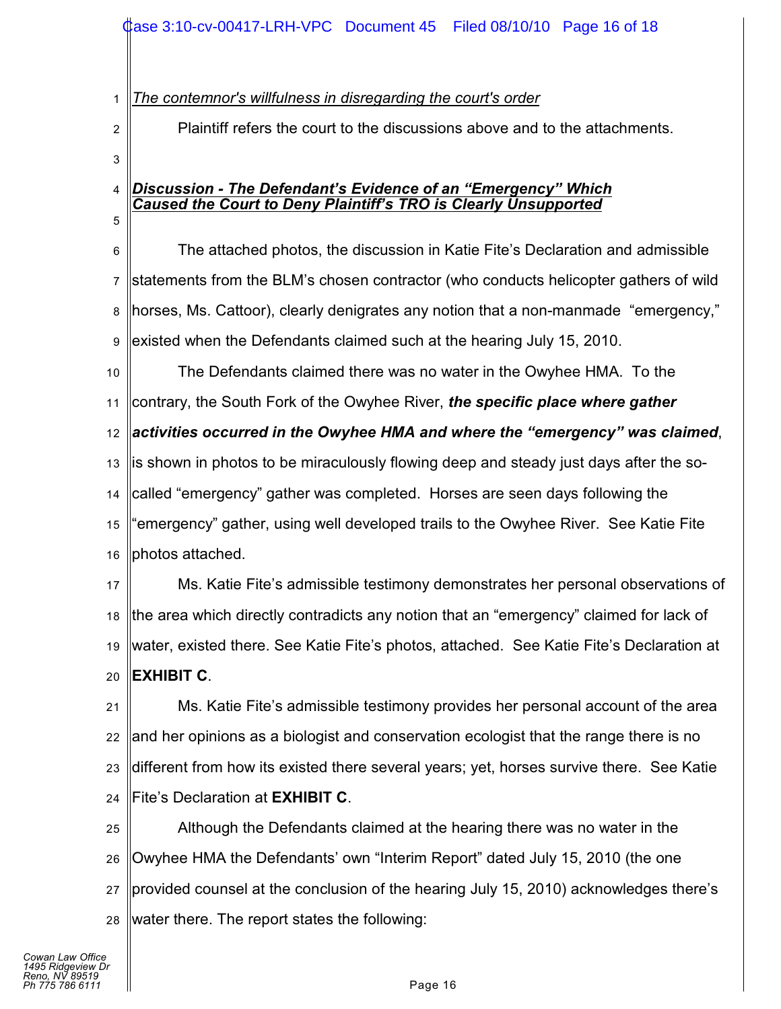1 *The contemnor's willfulness in disregarding the court's order*

2

Plaintiff refers the court to the discussions above and to the attachments.

3

4

5

## *Discussion - The Defendant's Evidence of an "Emergency" Which Caused the Court to Deny Plaintiff's TRO is Clearly Unsupported*

6 7 8 9 The attached photos, the discussion in Katie Fite's Declaration and admissible statements from the BLM's chosen contractor (who conducts helicopter gathers of wild horses, Ms. Cattoor), clearly denigrates any notion that a non-manmade "emergency," existed when the Defendants claimed such at the hearing July 15, 2010.

10 The Defendants claimed there was no water in the Owyhee HMA. To the

11 contrary, the South Fork of the Owyhee River, *the specific place where gather*

12 *activities occurred in the Owyhee HMA and where the "emergency" was claimed*,

13 is shown in photos to be miraculously flowing deep and steady just days after the so-

14 called "emergency" gather was completed. Horses are seen days following the

15 16 "emergency" gather, using well developed trails to the Owyhee River. See Katie Fite photos attached.

17 18 19 20 Ms. Katie Fite's admissible testimony demonstrates her personal observations of the area which directly contradicts any notion that an "emergency" claimed for lack of water, existed there. See Katie Fite's photos, attached. See Katie Fite's Declaration at **EXHIBIT C**.

21 22 23 24 Ms. Katie Fite's admissible testimony provides her personal account of the area and her opinions as a biologist and conservation ecologist that the range there is no different from how its existed there several years; yet, horses survive there. See Katie Fite's Declaration at **EXHIBIT C**.

25 26 27 28 Although the Defendants claimed at the hearing there was no water in the Owyhee HMA the Defendants' own "Interim Report" dated July 15, 2010 (the one provided counsel at the conclusion of the hearing July 15, 2010) acknowledges there's water there. The report states the following:

*Cowan Law Office 1495 Ridgeview Dr Reno, NV 89519 Ph 775 786 6111* Page 16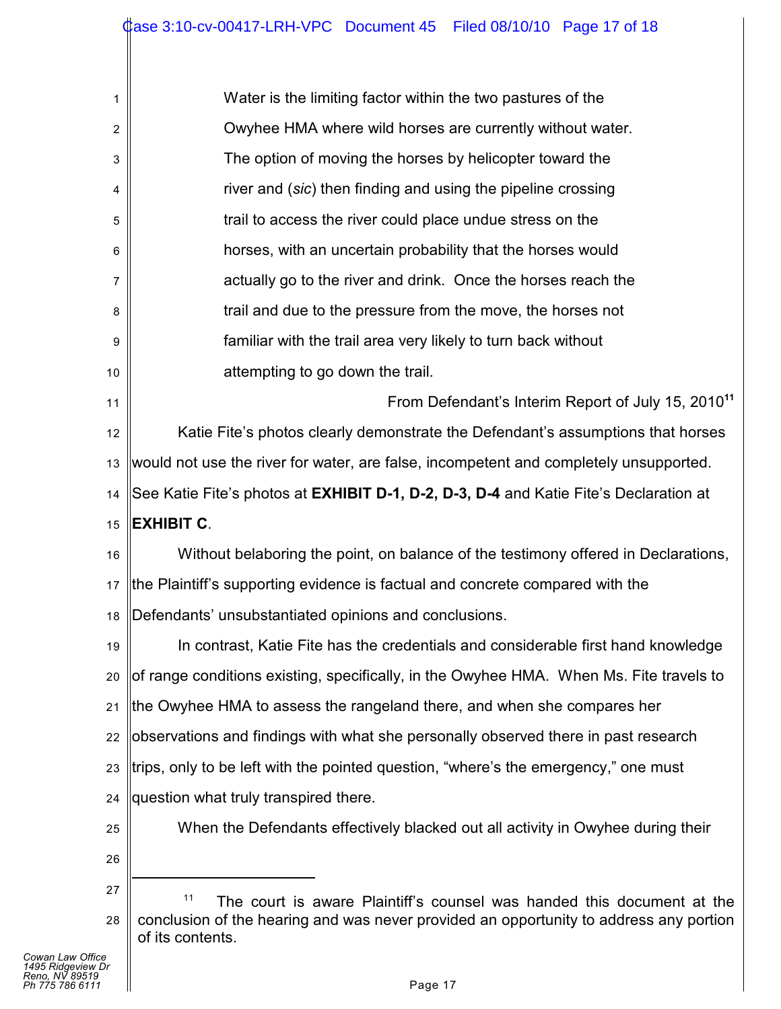| 1  | Water is the limiting factor within the two pastures of the                                  |
|----|----------------------------------------------------------------------------------------------|
| 2  | Owyhee HMA where wild horses are currently without water.                                    |
| 3  | The option of moving the horses by helicopter toward the                                     |
| 4  | river and (sic) then finding and using the pipeline crossing                                 |
| 5  | trail to access the river could place undue stress on the                                    |
| 6  | horses, with an uncertain probability that the horses would                                  |
| 7  | actually go to the river and drink. Once the horses reach the                                |
| 8  | trail and due to the pressure from the move, the horses not                                  |
| 9  | familiar with the trail area very likely to turn back without                                |
| 10 | attempting to go down the trail.                                                             |
| 11 | From Defendant's Interim Report of July 15, 2010 <sup>11</sup>                               |
| 12 | Katie Fite's photos clearly demonstrate the Defendant's assumptions that horses              |
| 13 | would not use the river for water, are false, incompetent and completely unsupported.        |
| 14 | See Katie Fite's photos at <b>EXHIBIT D-1, D-2, D-3, D-4</b> and Katie Fite's Declaration at |
| 15 | <b>EXHIBIT C.</b>                                                                            |
| 16 | Without belaboring the point, on balance of the testimony offered in Declarations,           |
| 17 | the Plaintiff's supporting evidence is factual and concrete compared with the                |
| 18 | Defendants' unsubstantiated opinions and conclusions.                                        |
| 19 | In contrast, Katie Fite has the credentials and considerable first hand knowledge            |
| 20 | of range conditions existing, specifically, in the Owyhee HMA. When Ms. Fite travels to      |
| 21 | the Owyhee HMA to assess the rangeland there, and when she compares her                      |
| 22 | observations and findings with what she personally observed there in past research           |
| 23 | trips, only to be left with the pointed question, "where's the emergency," one must          |
| 24 | question what truly transpired there.                                                        |
| 25 | When the Defendants effectively blacked out all activity in Owyhee during their              |
| 26 |                                                                                              |
| 27 | 11<br>The court is aware Plaintiff's counsel was handed this document at the                 |
|    |                                                                                              |

28 conclusion of the hearing and was never provided an opportunity to address any portion of its contents.